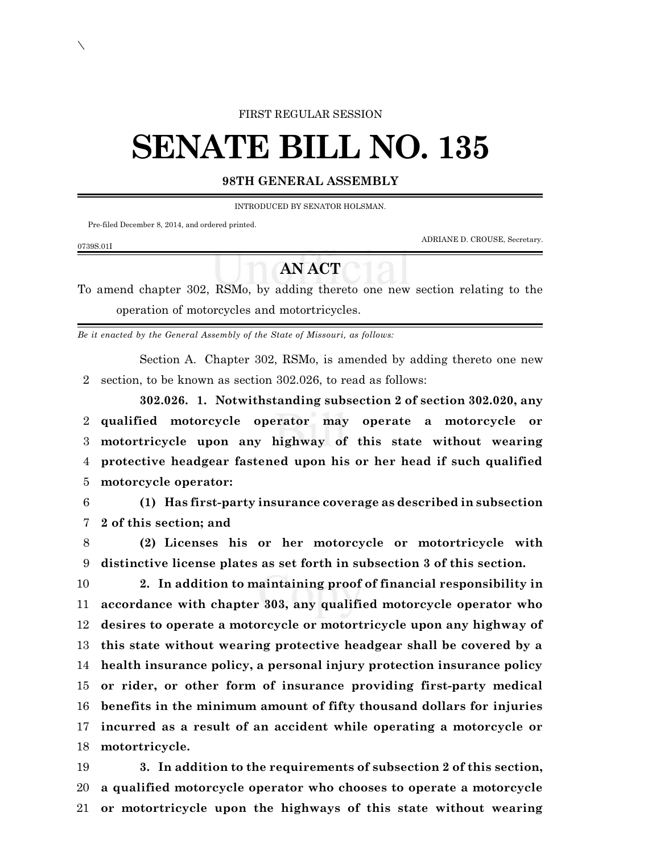## FIRST REGULAR SESSION

# **SENATE BILL NO. 135**

# **98TH GENERAL ASSEMBLY**

INTRODUCED BY SENATOR HOLSMAN.

Pre-filed December 8, 2014, and ordered printed.

ADRIANE D. CROUSE, Secretary.

# **AN ACT**

To amend chapter 302, RSMo, by adding thereto one new section relating to the operation of motorcycles and motortricycles.

*Be it enacted by the General Assembly of the State of Missouri, as follows:*

Section A. Chapter 302, RSMo, is amended by adding thereto one new 2 section, to be known as section 302.026, to read as follows:

**302.026. 1. Notwithstanding subsection 2 of section 302.020, any qualified motorcycle operator may operate a motorcycle or motortricycle upon any highway of this state without wearing protective headgear fastened upon his or her head if such qualified motorcycle operator:**

6 **(1) Has first-party insurance coverage as described in subsection** 7 **2 of this section; and**

8 **(2) Licenses his or her motorcycle or motortricycle with** 9 **distinctive license plates as set forth in subsection 3 of this section.**

 **2. In addition to maintaining proof of financial responsibility in accordance with chapter 303, any qualified motorcycle operator who desires to operate a motorcycle or motortricycle upon any highway of this state without wearing protective headgear shall be covered by a health insurance policy, a personal injury protection insurance policy or rider, or other form of insurance providing first-party medical benefits in the minimum amount of fifty thousand dollars for injuries incurred as a result of an accident while operating a motorcycle or motortricycle.**

19 **3. In addition to the requirements of subsection 2 of this section,** 20 **a qualified motorcycle operator who chooses to operate a motorcycle** 21 **or motortricycle upon the highways of this state without wearing**

### 0739S.01I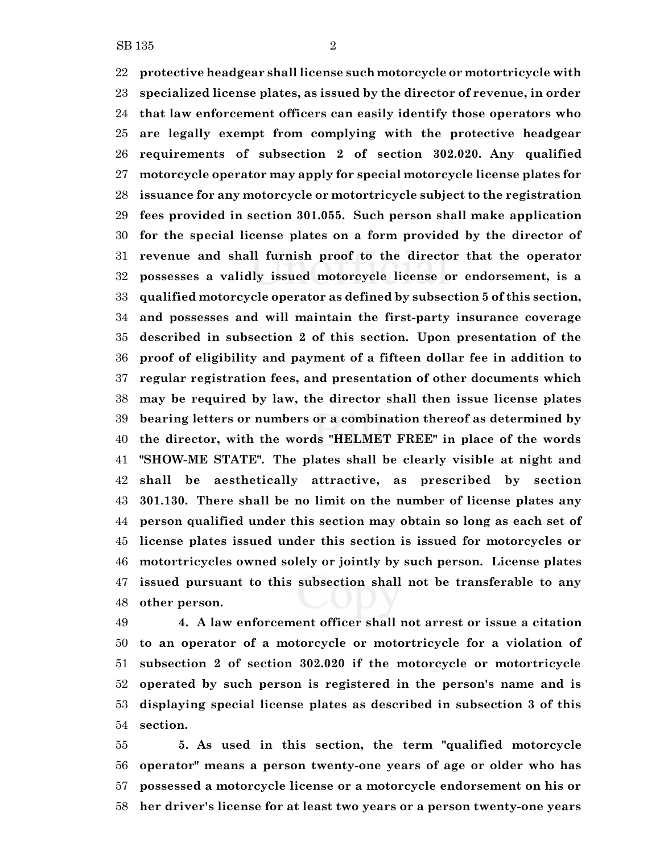**protective headgear shall license such motorcycle or motortricycle with specialized license plates, as issued by the director of revenue, in order that law enforcement officers can easily identify those operators who are legally exempt from complying with the protective headgear requirements of subsection 2 of section 302.020. Any qualified motorcycle operator may apply for special motorcycle license plates for issuance for any motorcycle or motortricycle subject to the registration fees provided in section 301.055. Such person shall make application for the special license plates on a form provided by the director of revenue and shall furnish proof to the director that the operator possesses a validly issued motorcycle license or endorsement, is a qualified motorcycle operator as defined by subsection 5 of this section, and possesses and will maintain the first-party insurance coverage described in subsection 2 of this section. Upon presentation of the proof of eligibility and payment of a fifteen dollar fee in addition to regular registration fees, and presentation of other documents which may be required by law, the director shall then issue license plates bearing letters or numbers or a combination thereof as determined by the director, with the words "HELMET FREE" in place of the words "SHOW-ME STATE". The plates shall be clearly visible at night and shall be aesthetically attractive, as prescribed by section 301.130. There shall be no limit on the number of license plates any person qualified under this section may obtain so long as each set of license plates issued under this section is issued for motorcycles or motortricycles owned solely or jointly by such person. License plates issued pursuant to this subsection shall not be transferable to any other person.**

 **4. A law enforcement officer shall not arrest or issue a citation to an operator of a motorcycle or motortricycle for a violation of subsection 2 of section 302.020 if the motorcycle or motortricycle operated by such person is registered in the person's name and is displaying special license plates as described in subsection 3 of this section.**

 **5. As used in this section, the term "qualified motorcycle operator" means a person twenty-one years of age or older who has possessed a motorcycle license or a motorcycle endorsement on his or her driver's license for at least two years or a person twenty-one years**